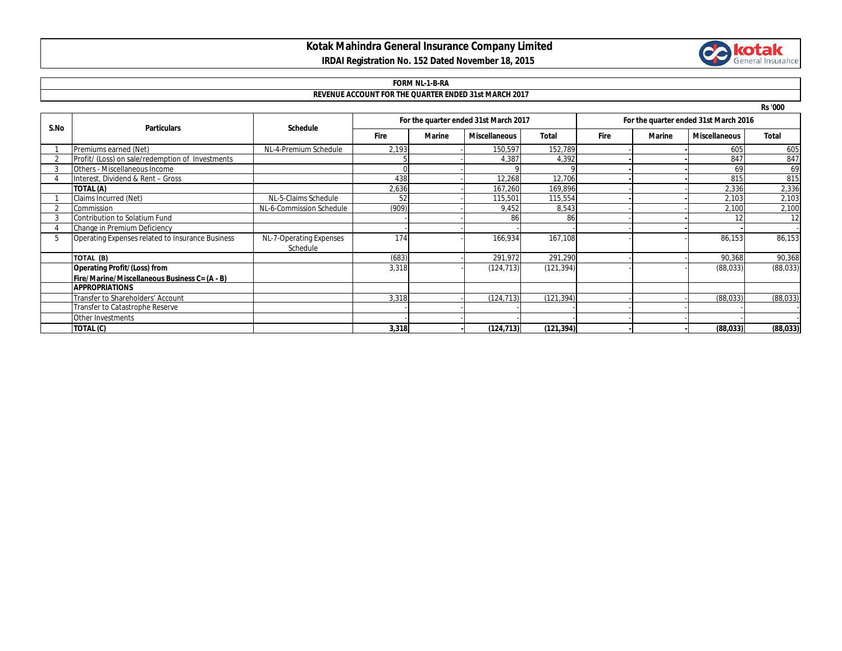## **Kotak Mahindra General Insurance Company Limited IRDAI Registration No. 152 Dated November 18, 2015**



# **FORM NL-1-B-RA**

#### **REVENUE ACCOUNT FOR THE QUARTER ENDED 31st MARCH 2017**

**Rs '000**

| S.No | <b>Particulars</b>                               | <b>Schedule</b>                     | For the quarter ended 31st March 2017 |        |                      |              | For the quarter ended 31st March 2016 |        |                      |              |
|------|--------------------------------------------------|-------------------------------------|---------------------------------------|--------|----------------------|--------------|---------------------------------------|--------|----------------------|--------------|
|      |                                                  |                                     | <b>Fire</b>                           | Marine | <b>Miscellaneous</b> | <b>Total</b> | <b>Fire</b>                           | Marine | <b>Miscellaneous</b> | <b>Total</b> |
|      | Premiums earned (Net)                            | NL-4-Premium Schedule               | 2,193                                 |        | 150,597              | 152,789      |                                       |        | 605                  | 605          |
|      | Profit/ (Loss) on sale/redemption of Investments |                                     |                                       |        | 4,387                | 4,392        |                                       |        | 847                  | 847          |
|      | Others - Miscellaneous Income                    |                                     |                                       |        |                      |              |                                       |        | 69                   | 69           |
|      | Interest, Dividend & Rent - Gross                |                                     | 438                                   |        | 12,268               | 12,706       |                                       |        | 815                  | 815          |
|      | TOTAL (A)                                        |                                     | 2,636                                 |        | 167,260              | 169,896      |                                       |        | 2,336                | 2,336        |
|      | Claims Incurred (Net)                            | NL-5-Claims Schedule                | 52                                    |        | 115,501              | 115,554      |                                       |        | 2,103                | 2,103        |
|      | Commission                                       | NL-6-Commission Schedule            | (909)                                 |        | 9,452                | 8,543        |                                       |        | 2,100                | 2,100        |
|      | Contribution to Solatium Fund                    |                                     |                                       |        | 86                   | 86           |                                       |        |                      | 12           |
|      | Change in Premium Deficiency                     |                                     |                                       |        |                      |              |                                       |        |                      |              |
| .b   | Operating Expenses related to Insurance Business | NL-7-Operating Expenses<br>Schedule | 174                                   |        | 166,934              | 167,108      |                                       |        | 86,153               | 86,153       |
|      | TOTAL (B)                                        |                                     | (683)                                 |        | 291,972              | 291,290      |                                       |        | 90,368               | 90,368       |
|      | <b>Operating Profit/(Loss) from</b>              |                                     | 3,318                                 |        | (124, 713)           | (121, 394)   |                                       |        | (88, 033)            | (88,033)     |
|      | Fire/Marine/Miscellaneous Business C= (A - B)    |                                     |                                       |        |                      |              |                                       |        |                      |              |
|      | <b>APPROPRIATIONS</b>                            |                                     |                                       |        |                      |              |                                       |        |                      |              |
|      | Transfer to Shareholders' Account                |                                     | 3,318                                 |        | (124, 713)           | (121, 394)   |                                       |        | (88, 033)            | (88, 033)    |
|      | Transfer to Catastrophe Reserve                  |                                     |                                       |        |                      |              |                                       |        |                      |              |
|      | Other Investments                                |                                     |                                       |        |                      |              |                                       |        |                      |              |
|      | TOTAL (C)                                        |                                     | 3,318                                 |        | (124, 713)           | (121, 394)   |                                       |        | (88, 033)            | (88, 033)    |